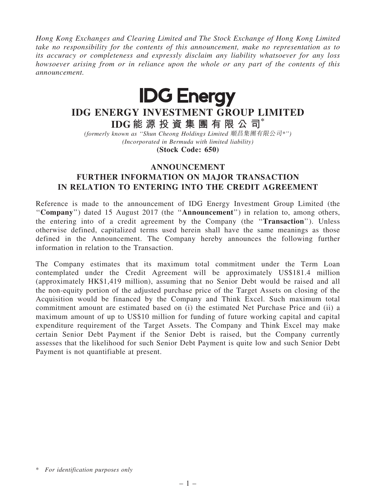*Hong Kong Exchanges and Clearing Limited and The Stock Exchange of Hong Kong Limited take no responsibility for the contents of this announcement, make no representation as to its accuracy or completeness and expressly disclaim any liability whatsoever for any loss howsoever arising from or in reliance upon the whole or any part of the contents of this announcement.*



## IDG ENERGY INVESTMENT GROUP LIMITED

IDG 能 源 投 資 集 團 有 限 公 司\*

*(formerly known as* ''*Shun Cheong Holdings Limited* 順昌集團有限公司*\**''*) (Incorporated in Bermuda with limited liability)* (Stock Code: 650)

## ANNOUNCEMENT

## FURTHER INFORMATION ON MAJOR TRANSACTION IN RELATION TO ENTERING INTO THE CREDIT AGREEMENT

Reference is made to the announcement of IDG Energy Investment Group Limited (the "Company") dated 15 August 2017 (the "Announcement") in relation to, among others, the entering into of a credit agreement by the Company (the ''Transaction''). Unless otherwise defined, capitalized terms used herein shall have the same meanings as those defined in the Announcement. The Company hereby announces the following further information in relation to the Transaction.

The Company estimates that its maximum total commitment under the Term Loan contemplated under the Credit Agreement will be approximately US\$181.4 million (approximately HK\$1,419 million), assuming that no Senior Debt would be raised and all the non-equity portion of the adjusted purchase price of the Target Assets on closing of the Acquisition would be financed by the Company and Think Excel. Such maximum total commitment amount are estimated based on (i) the estimated Net Purchase Price and (ii) a maximum amount of up to US\$10 million for funding of future working capital and capital expenditure requirement of the Target Assets. The Company and Think Excel may make certain Senior Debt Payment if the Senior Debt is raised, but the Company currently assesses that the likelihood for such Senior Debt Payment is quite low and such Senior Debt Payment is not quantifiable at present.

<sup>\*</sup> *For identification purposes only*